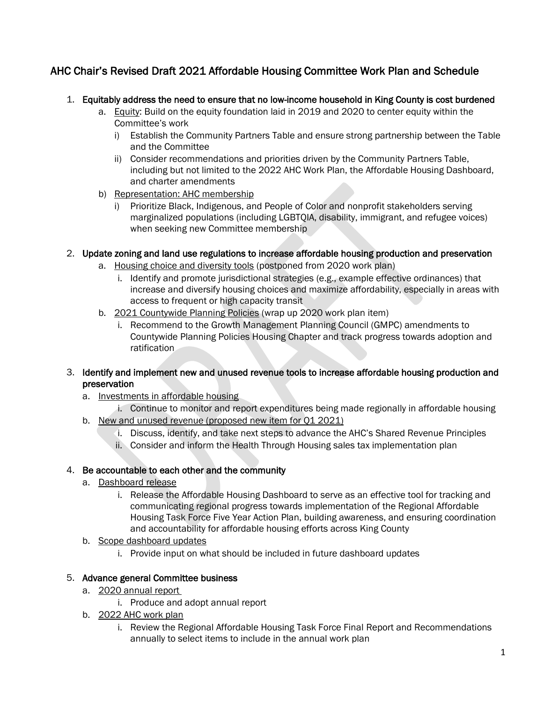# AHC Chair's Revised Draft 2021 Affordable Housing Committee Work Plan and Schedule

- 1. Equitably address the need to ensure that no low-income household in King County is cost burdened
	- a. Equity: Build on the equity foundation laid in 2019 and 2020 to center equity within the Committee's work
		- i) Establish the Community Partners Table and ensure strong partnership between the Table and the Committee
		- ii) Consider recommendations and priorities driven by the Community Partners Table, including but not limited to the 2022 AHC Work Plan, the Affordable Housing Dashboard, and charter amendments
	- b) Representation: AHC membership
		- i) Prioritize Black, Indigenous, and People of Color and nonprofit stakeholders serving marginalized populations (including LGBTQIA, disability, immigrant, and refugee voices) when seeking new Committee membership

#### 2. Update zoning and land use regulations to increase affordable housing production and preservation

- a. Housing choice and diversity tools (postponed from 2020 work plan)
	- i. Identify and promote jurisdictional strategies (e.g., example effective ordinances) that increase and diversify housing choices and maximize affordability, especially in areas with access to frequent or high capacity transit
- b. 2021 Countywide Planning Policies (wrap up 2020 work plan item)
	- i. Recommend to the Growth Management Planning Council (GMPC) amendments to Countywide Planning Policies Housing Chapter and track progress towards adoption and ratification

#### 3. Identify and implement new and unused revenue tools to increase affordable housing production and preservation

- a. Investments in affordable housing
- i. Continue to monitor and report expenditures being made regionally in affordable housing b. New and unused revenue (proposed new item for Q1 2021)
	- i. Discuss, identify, and take next steps to advance the AHC's Shared Revenue Principles
	- ii. Consider and inform the Health Through Housing sales tax implementation plan

## 4. Be accountable to each other and the community

- a. Dashboard release
	- i. Release the Affordable Housing Dashboard to serve as an effective tool for tracking and communicating regional progress towards implementation of the Regional Affordable Housing Task Force Five Year Action Plan, building awareness, and ensuring coordination and accountability for affordable housing efforts across King County
- b. Scope dashboard updates
	- i. Provide input on what should be included in future dashboard updates

## 5. Advance general Committee business

- a. 2020 annual report
	- i. Produce and adopt annual report
- b. 2022 AHC work plan
	- i. Review the Regional Affordable Housing Task Force Final Report and Recommendations annually to select items to include in the annual work plan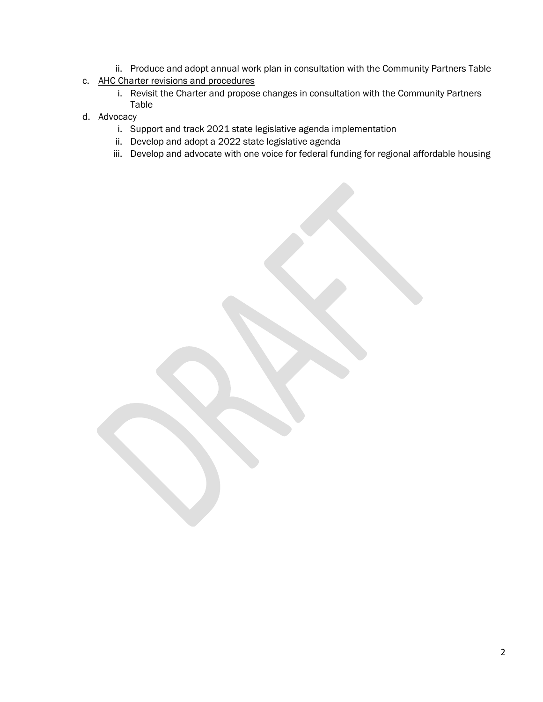- ii. Produce and adopt annual work plan in consultation with the Community Partners Table
- c. AHC Charter revisions and procedures
	- i. Revisit the Charter and propose changes in consultation with the Community Partners Table
- d. Advocacy
	- i. Support and track 2021 state legislative agenda implementation
	- ii. Develop and adopt a 2022 state legislative agenda
	- iii. Develop and advocate with one voice for federal funding for regional affordable housing